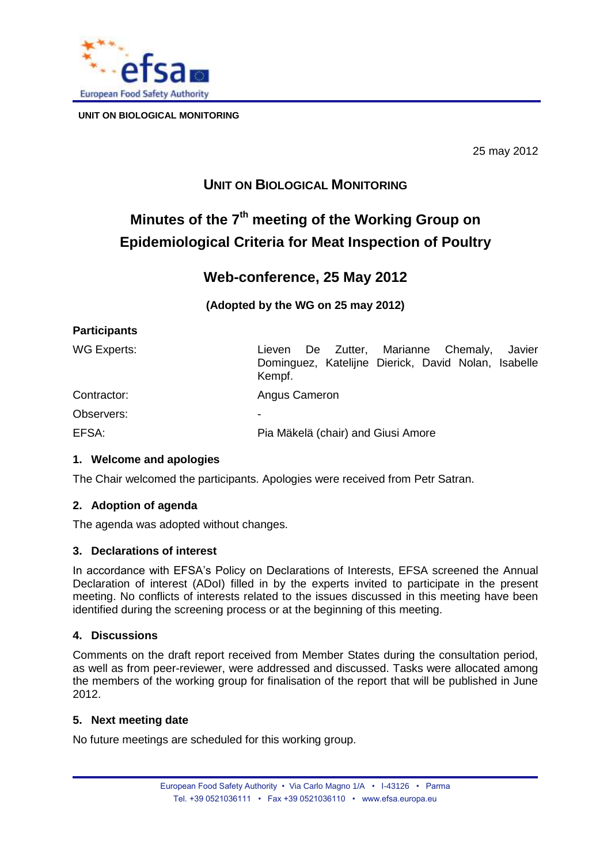

25 may 2012

# **UNIT ON BIOLOGICAL MONITORING**

# **Minutes of the 7 th meeting of the Working Group on Epidemiological Criteria for Meat Inspection of Poultry**

## **Web-conference, 25 May 2012**

**(Adopted by the WG on 25 may 2012)** 

| <b>Participants</b> |
|---------------------|
|---------------------|

| WG Experts: | De Zutter, Marianne Chemaly,<br>Javier<br>Lieven<br>Dominguez, Katelijne Dierick, David Nolan, Isabelle<br>Kempf. |
|-------------|-------------------------------------------------------------------------------------------------------------------|
| Contractor: | Angus Cameron                                                                                                     |
| Observers:  | -                                                                                                                 |
| EFSA:       | Pia Mäkelä (chair) and Giusi Amore                                                                                |

## **1. Welcome and apologies**

The Chair welcomed the participants. Apologies were received from Petr Satran.

### **2. Adoption of agenda**

The agenda was adopted without changes.

### **3. Declarations of interest**

In accordance with EFSA's Policy on Declarations of Interests, EFSA screened the Annual Declaration of interest (ADoI) filled in by the experts invited to participate in the present meeting. No conflicts of interests related to the issues discussed in this meeting have been identified during the screening process or at the beginning of this meeting.

## **4. Discussions**

Comments on the draft report received from Member States during the consultation period, as well as from peer-reviewer, were addressed and discussed. Tasks were allocated among the members of the working group for finalisation of the report that will be published in June 2012.

### **5. Next meeting date**

No future meetings are scheduled for this working group.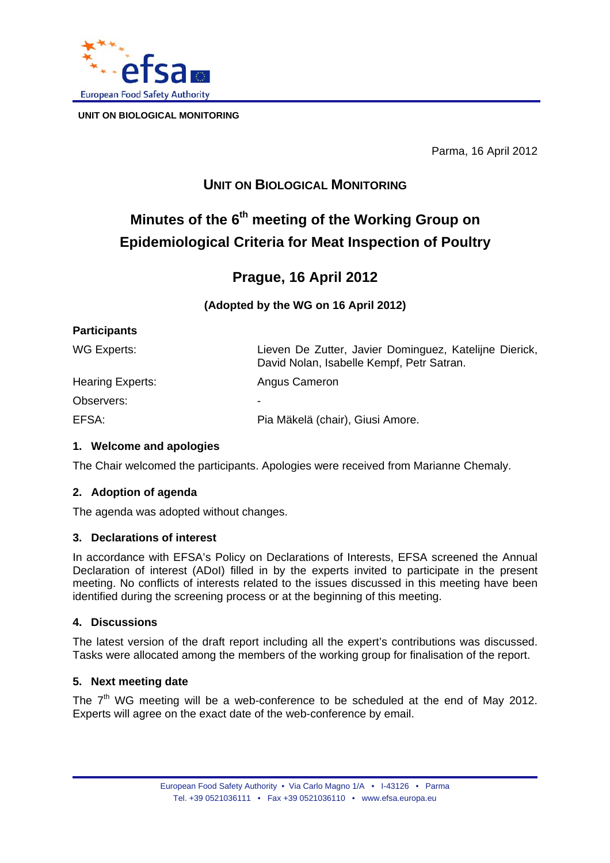

Parma, 16 April 2012

# **UNIT ON BIOLOGICAL MONITORING**

# **Minutes of the 6th meeting of the Working Group on Epidemiological Criteria for Meat Inspection of Poultry**

## **Prague, 16 April 2012**

**(Adopted by the WG on 16 April 2012)** 

| Lieven De Zutter, Javier Dominguez, Katelijne Dierick,<br>David Nolan, Isabelle Kempf, Petr Satran. |
|-----------------------------------------------------------------------------------------------------|
| Angus Cameron                                                                                       |
| -                                                                                                   |
| Pia Mäkelä (chair), Giusi Amore.                                                                    |
|                                                                                                     |

## **1. Welcome and apologies**

The Chair welcomed the participants. Apologies were received from Marianne Chemaly.

## **2. Adoption of agenda**

The agenda was adopted without changes.

### **3. Declarations of interest**

In accordance with EFSA's Policy on Declarations of Interests, EFSA screened the Annual Declaration of interest (ADoI) filled in by the experts invited to participate in the present meeting. No conflicts of interests related to the issues discussed in this meeting have been identified during the screening process or at the beginning of this meeting.

### **4. Discussions**

The latest version of the draft report including all the expert's contributions was discussed. Tasks were allocated among the members of the working group for finalisation of the report.

### **5. Next meeting date**

The  $7<sup>th</sup>$  WG meeting will be a web-conference to be scheduled at the end of May 2012. Experts will agree on the exact date of the web-conference by email.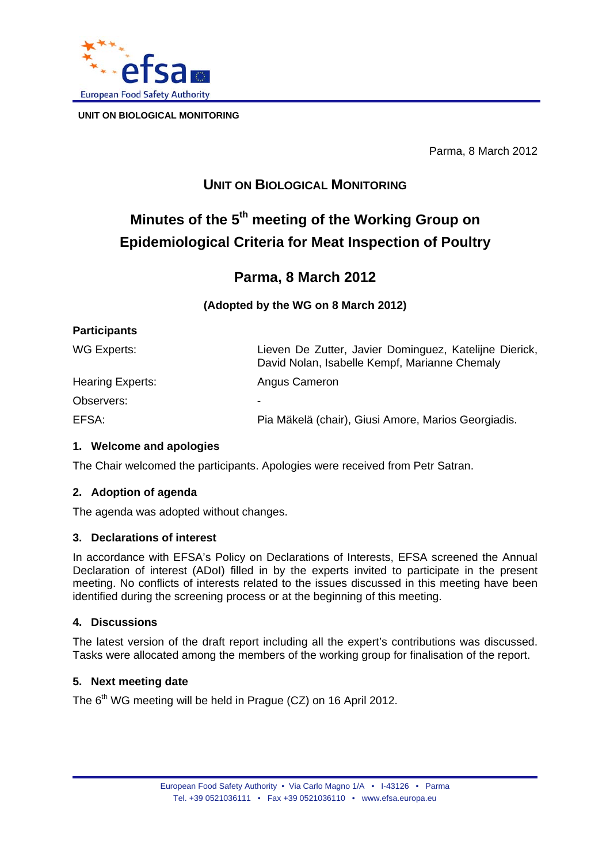

Parma, 8 March 2012

# **UNIT ON BIOLOGICAL MONITORING**

# **Minutes of the 5th meeting of the Working Group on Epidemiological Criteria for Meat Inspection of Poultry**

# **Parma, 8 March 2012**

**(Adopted by the WG on 8 March 2012)** 

| <b>Participants</b> |                                                                                                         |
|---------------------|---------------------------------------------------------------------------------------------------------|
| WG Experts:         | Lieven De Zutter, Javier Dominguez, Katelijne Dierick,<br>David Nolan, Isabelle Kempf, Marianne Chemaly |
| Hearing Experts:    | Angus Cameron                                                                                           |
| Observers:          | -                                                                                                       |
| EFSA:               | Pia Mäkelä (chair), Giusi Amore, Marios Georgiadis.                                                     |

## **1. Welcome and apologies**

The Chair welcomed the participants. Apologies were received from Petr Satran.

## **2. Adoption of agenda**

The agenda was adopted without changes.

### **3. Declarations of interest**

In accordance with EFSA's Policy on Declarations of Interests, EFSA screened the Annual Declaration of interest (ADoI) filled in by the experts invited to participate in the present meeting. No conflicts of interests related to the issues discussed in this meeting have been identified during the screening process or at the beginning of this meeting.

### **4. Discussions**

The latest version of the draft report including all the expert's contributions was discussed. Tasks were allocated among the members of the working group for finalisation of the report.

### **5. Next meeting date**

The 6<sup>th</sup> WG meeting will be held in Prague (CZ) on 16 April 2012.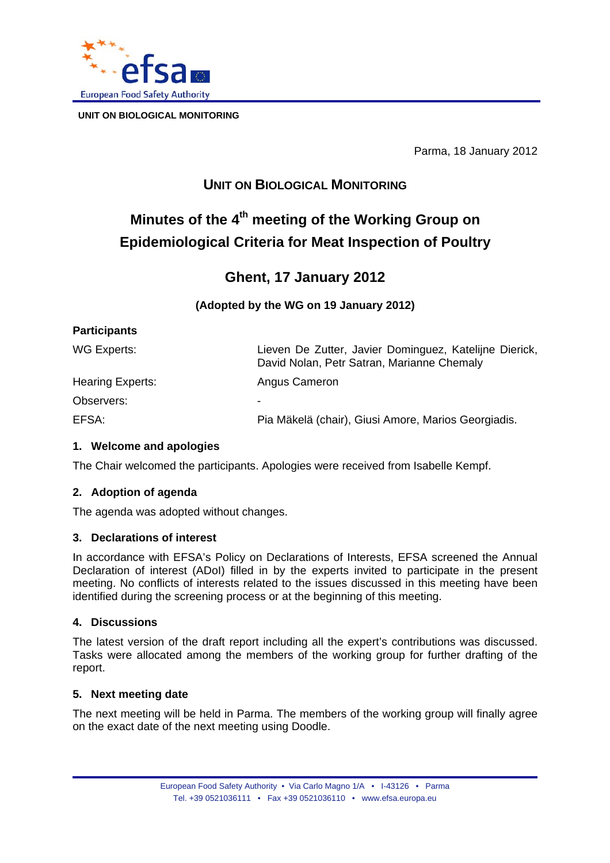

Parma, 18 January 2012

# **UNIT ON BIOLOGICAL MONITORING**

# **Minutes of the 4th meeting of the Working Group on Epidemiological Criteria for Meat Inspection of Poultry**

# **Ghent, 17 January 2012**

**(Adopted by the WG on 19 January 2012)** 

| <b>Participants</b> |                                                                                                      |
|---------------------|------------------------------------------------------------------------------------------------------|
| WG Experts:         | Lieven De Zutter, Javier Dominguez, Katelijne Dierick,<br>David Nolan, Petr Satran, Marianne Chemaly |
| Hearing Experts:    | Angus Cameron                                                                                        |
| Observers:          | -                                                                                                    |
| EFSA:               | Pia Mäkelä (chair), Giusi Amore, Marios Georgiadis.                                                  |

## **1. Welcome and apologies**

The Chair welcomed the participants. Apologies were received from Isabelle Kempf.

### **2. Adoption of agenda**

The agenda was adopted without changes.

### **3. Declarations of interest**

In accordance with EFSA's Policy on Declarations of Interests, EFSA screened the Annual Declaration of interest (ADoI) filled in by the experts invited to participate in the present meeting. No conflicts of interests related to the issues discussed in this meeting have been identified during the screening process or at the beginning of this meeting.

### **4. Discussions**

The latest version of the draft report including all the expert's contributions was discussed. Tasks were allocated among the members of the working group for further drafting of the report.

### **5. Next meeting date**

The next meeting will be held in Parma. The members of the working group will finally agree on the exact date of the next meeting using Doodle.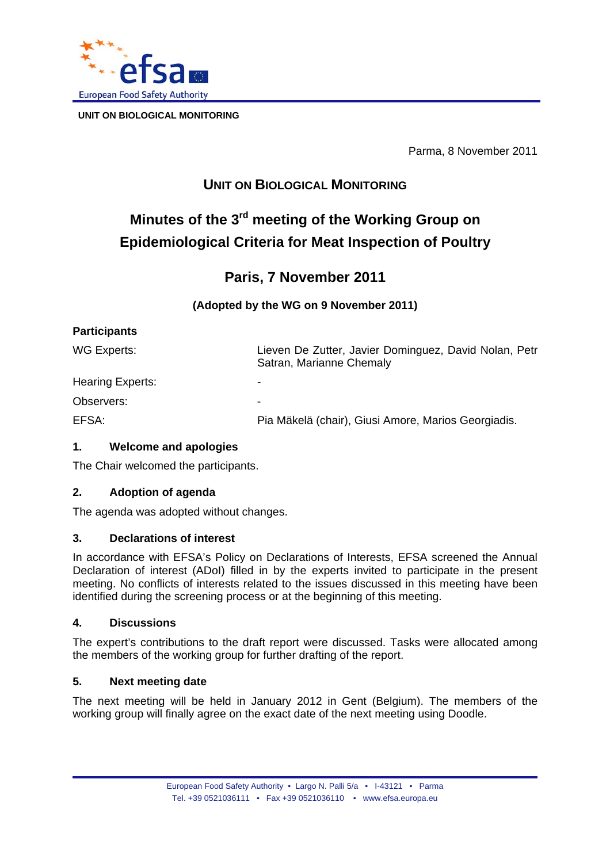

Parma, 8 November 2011

# **UNIT ON BIOLOGICAL MONITORING**

# **Minutes of the 3rd meeting of the Working Group on Epidemiological Criteria for Meat Inspection of Poultry**

## **Paris, 7 November 2011**

## **(Adopted by the WG on 9 November 2011)**

Satran, Marianne Chemaly

## **Participants**

WG Experts: Lieven De Zutter, Javier Dominguez, David Nolan, Petr

Hearing Experts:

Observers:

EFSA: Pia Mäkelä (chair), Giusi Amore, Marios Georgiadis.

## **1. Welcome and apologies**

The Chair welcomed the participants.

## **2. Adoption of agenda**

The agenda was adopted without changes.

### **3. Declarations of interest**

In accordance with EFSA's Policy on Declarations of Interests, EFSA screened the Annual Declaration of interest (ADoI) filled in by the experts invited to participate in the present meeting. No conflicts of interests related to the issues discussed in this meeting have been identified during the screening process or at the beginning of this meeting.

### **4. Discussions**

The expert's contributions to the draft report were discussed. Tasks were allocated among the members of the working group for further drafting of the report.

## **5. Next meeting date**

The next meeting will be held in January 2012 in Gent (Belgium). The members of the working group will finally agree on the exact date of the next meeting using Doodle.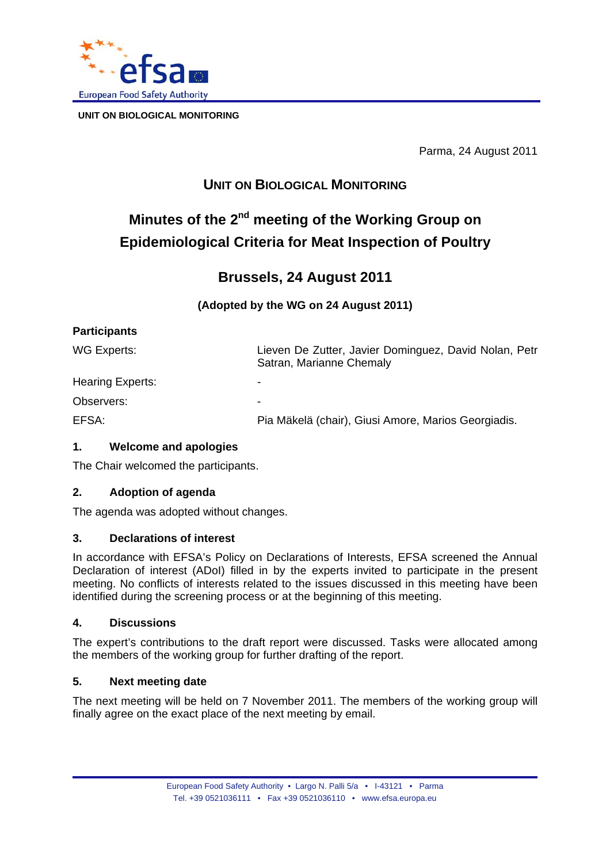

Parma, 24 August 2011

# **UNIT ON BIOLOGICAL MONITORING**

# **Minutes of the 2nd meeting of the Working Group on Epidemiological Criteria for Meat Inspection of Poultry**

# **Brussels, 24 August 2011**

## **(Adopted by the WG on 24 August 2011)**

Satran, Marianne Chemaly

## **Participants**

WG Experts: Lieven De Zutter, Javier Dominguez, David Nolan, Petr

Hearing Experts:

Observers:

EFSA: Pia Mäkelä (chair), Giusi Amore, Marios Georgiadis.

## **1. Welcome and apologies**

The Chair welcomed the participants.

## **2. Adoption of agenda**

The agenda was adopted without changes.

## **3. Declarations of interest**

In accordance with EFSA's Policy on Declarations of Interests, EFSA screened the Annual Declaration of interest (ADoI) filled in by the experts invited to participate in the present meeting. No conflicts of interests related to the issues discussed in this meeting have been identified during the screening process or at the beginning of this meeting.

## **4. Discussions**

The expert's contributions to the draft report were discussed. Tasks were allocated among the members of the working group for further drafting of the report.

## **5. Next meeting date**

The next meeting will be held on 7 November 2011. The members of the working group will finally agree on the exact place of the next meeting by email.